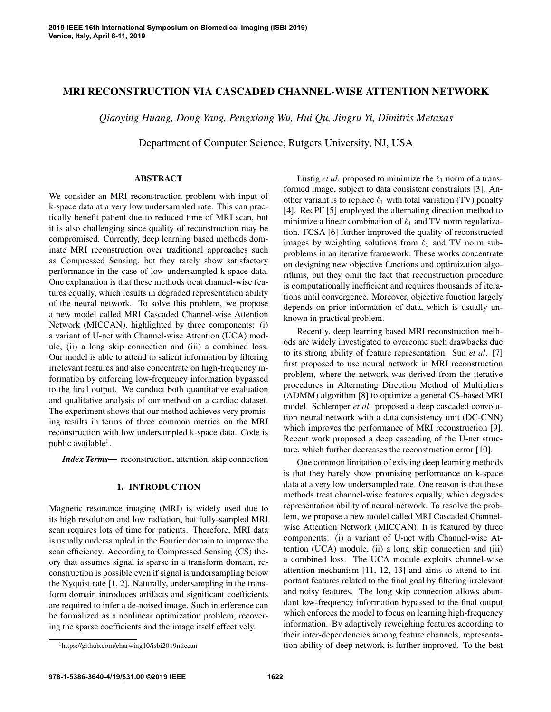# MRI RECONSTRUCTION VIA CASCADED CHANNEL-WISE ATTENTION NETWORK

*Qiaoying Huang, Dong Yang, Pengxiang Wu, Hui Qu, Jingru Yi, Dimitris Metaxas*

Department of Computer Science, Rutgers University, NJ, USA

# ABSTRACT

We consider an MRI reconstruction problem with input of k-space data at a very low undersampled rate. This can practically benefit patient due to reduced time of MRI scan, but it is also challenging since quality of reconstruction may be compromised. Currently, deep learning based methods dominate MRI reconstruction over traditional approaches such as Compressed Sensing, but they rarely show satisfactory performance in the case of low undersampled k-space data. One explanation is that these methods treat channel-wise features equally, which results in degraded representation ability of the neural network. To solve this problem, we propose a new model called MRI Cascaded Channel-wise Attention Network (MICCAN), highlighted by three components: (i) a variant of U-net with Channel-wise Attention (UCA) module, (ii) a long skip connection and (iii) a combined loss. Our model is able to attend to salient information by filtering irrelevant features and also concentrate on high-frequency information by enforcing low-frequency information bypassed to the final output. We conduct both quantitative evaluation and qualitative analysis of our method on a cardiac dataset. The experiment shows that our method achieves very promising results in terms of three common metrics on the MRI reconstruction with low undersampled k-space data. Code is public available<sup>1</sup>.

*Index Terms*— reconstruction, attention, skip connection

## 1. INTRODUCTION

Magnetic resonance imaging (MRI) is widely used due to its high resolution and low radiation, but fully-sampled MRI scan requires lots of time for patients. Therefore, MRI data is usually undersampled in the Fourier domain to improve the scan efficiency. According to Compressed Sensing (CS) theory that assumes signal is sparse in a transform domain, reconstruction is possible even if signal is undersampling below the Nyquist rate [1, 2]. Naturally, undersampling in the transform domain introduces artifacts and significant coefficients are required to infer a de-noised image. Such interference can be formalized as a nonlinear optimization problem, recovering the sparse coefficients and the image itself effectively.

Lustig *et al.* proposed to minimize the  $\ell_1$  norm of a transformed image, subject to data consistent constraints [3]. Another variant is to replace  $\ell_1$  with total variation (TV) penalty [4]. RecPF [5] employed the alternating direction method to minimize a linear combination of  $\ell_1$  and TV norm regularization. FCSA [6] further improved the quality of reconstructed images by weighting solutions from  $\ell_1$  and TV norm subproblems in an iterative framework. These works concentrate on designing new objective functions and optimization algorithms, but they omit the fact that reconstruction procedure is computationally inefficient and requires thousands of iterations until convergence. Moreover, objective function largely depends on prior information of data, which is usually unknown in practical problem.

Recently, deep learning based MRI reconstruction methods are widely investigated to overcome such drawbacks due to its strong ability of feature representation. Sun *et al*. [7] first proposed to use neural network in MRI reconstruction problem, where the network was derived from the iterative procedures in Alternating Direction Method of Multipliers (ADMM) algorithm [8] to optimize a general CS-based MRI model. Schlemper *et al*. proposed a deep cascaded convolution neural network with a data consistency unit (DC-CNN) which improves the performance of MRI reconstruction [9]. Recent work proposed a deep cascading of the U-net structure, which further decreases the reconstruction error [10].

One common limitation of existing deep learning methods is that they barely show promising performance on k-space data at a very low undersampled rate. One reason is that these methods treat channel-wise features equally, which degrades representation ability of neural network. To resolve the problem, we propose a new model called MRI Cascaded Channelwise Attention Network (MICCAN). It is featured by three components: (i) a variant of U-net with Channel-wise Attention (UCA) module, (ii) a long skip connection and (iii) a combined loss. The UCA module exploits channel-wise attention mechanism [11, 12, 13] and aims to attend to important features related to the final goal by filtering irrelevant and noisy features. The long skip connection allows abundant low-frequency information bypassed to the final output which enforces the model to focus on learning high-frequency information. By adaptively reweighing features according to their inter-dependencies among feature channels, representation ability of deep network is further improved. To the best

<sup>1</sup>https://github.com/charwing10/isbi2019miccan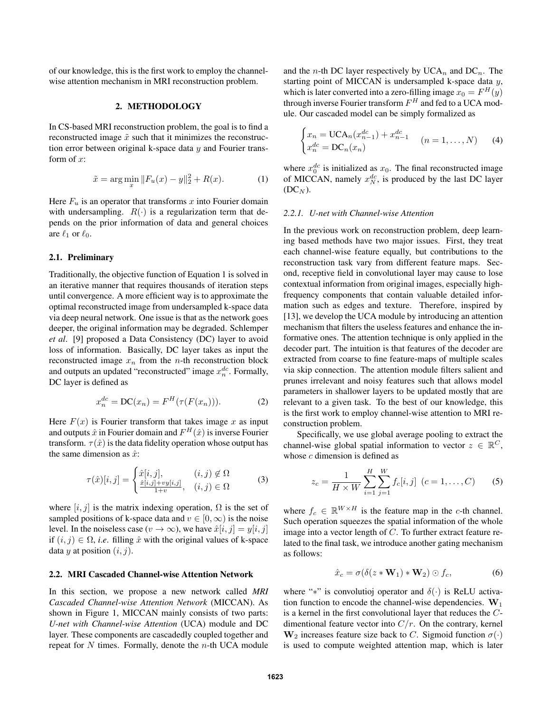of our knowledge, this is the first work to employ the channelwise attention mechanism in MRI reconstruction problem.

## 2. METHODOLOGY

In CS-based MRI reconstruction problem, the goal is to find a reconstructed image  $\tilde{x}$  such that it minimizes the reconstruction error between original k-space data  $y$  and Fourier transform of  $x$ :

$$
\tilde{x} = \arg\min_{x} \|F_u(x) - y\|_2^2 + R(x). \tag{1}
$$

Here  $F_u$  is an operator that transforms x into Fourier domain with undersampling.  $R(\cdot)$  is a regularization term that depends on the prior information of data and general choices are  $\ell_1$  or  $\ell_0$ .

# 2.1. Preliminary

Traditionally, the objective function of Equation 1 is solved in an iterative manner that requires thousands of iteration steps until convergence. A more efficient way is to approximate the optimal reconstructed image from undersampled k-space data via deep neural network. One issue is that as the network goes deeper, the original information may be degraded. Schlemper *et al*. [9] proposed a Data Consistency (DC) layer to avoid loss of information. Basically, DC layer takes as input the reconstructed image  $x_n$  from the *n*-th reconstruction block and outputs an updated "reconstructed" image  $x_n^{dc}$ . Formally, DC layer is defined as

$$
x_n^{dc} = \mathbf{DC}(x_n) = F^H(\tau(F(x_n))). \tag{2}
$$

Here  $F(x)$  is Fourier transform that takes image x as input and outputs  $\hat{x}$  in Fourier domain and  $F^H(\hat{x})$  is inverse Fourier transform.  $\tau(\hat{x})$  is the data fidelity operation whose output has the same dimension as  $\hat{x}$ :

$$
\tau(\hat{x})[i,j] = \begin{cases} \hat{x}[i,j], & (i,j) \notin \Omega\\ \frac{\hat{x}[i,j] + vy[i,j]}{1+v}, & (i,j) \in \Omega \end{cases}
$$
 (3)

where  $[i, j]$  is the matrix indexing operation,  $\Omega$  is the set of sampled positions of k-space data and  $v \in [0, \infty)$  is the noise level. In the noiseless case ( $v \to \infty$ ), we have  $\hat{x}[i, j] = y[i, j]$ if  $(i, j) \in \Omega$ , *i.e.* filling  $\hat{x}$  with the original values of k-space data y at position  $(i, j)$ .

## 2.2. MRI Cascaded Channel-wise Attention Network

In this section, we propose a new network called *MRI Cascaded Channel-wise Attention Network* (MICCAN). As shown in Figure 1, MICCAN mainly consists of two parts: *U-net with Channel-wise Attention* (UCA) module and DC layer. These components are cascadedly coupled together and repeat for  $N$  times. Formally, denote the  $n$ -th UCA module and the *n*-th DC layer respectively by  $UCA_n$  and  $DC_n$ . The starting point of MICCAN is undersampled k-space data y, which is later converted into a zero-filling image  $x_0 = F^H(y)$ through inverse Fourier transform  $F^H$  and fed to a UCA module. Our cascaded model can be simply formalized as

$$
\begin{cases} x_n = \text{UCA}_n(x_{n-1}^{dc}) + x_{n-1}^{dc} & (n = 1, ..., N) \\ x_n^{dc} = \text{DC}_n(x_n) \end{cases}
$$
 (4)

where  $x_0^{dc}$  is initialized as  $x_0$ . The final reconstructed image of MICCAN, namely  $x_N^{dc}$ , is produced by the last DC layer  $(DC_N)$ .

## *2.2.1. U-net with Channel-wise Attention*

In the previous work on reconstruction problem, deep learning based methods have two major issues. First, they treat each channel-wise feature equally, but contributions to the reconstruction task vary from different feature maps. Second, receptive field in convolutional layer may cause to lose contextual information from original images, especially highfrequency components that contain valuable detailed information such as edges and texture. Therefore, inspired by [13], we develop the UCA module by introducing an attention mechanism that filters the useless features and enhance the informative ones. The attention technique is only applied in the decoder part. The intuition is that features of the decoder are extracted from coarse to fine feature-maps of multiple scales via skip connection. The attention module filters salient and prunes irrelevant and noisy features such that allows model parameters in shallower layers to be updated mostly that are relevant to a given task. To the best of our knowledge, this is the first work to employ channel-wise attention to MRI reconstruction problem.

Specifically, we use global average pooling to extract the channel-wise global spatial information to vector  $z \in \mathbb{R}^C$ , whose  $c$  dimension is defined as

$$
z_c = \frac{1}{H \times W} \sum_{i=1}^{H} \sum_{j=1}^{W} f_c[i, j] \ (c = 1, \dots, C) \tag{5}
$$

where  $f_c \in \mathbb{R}^{W \times H}$  is the feature map in the c-th channel. Such operation squeezes the spatial information of the whole image into a vector length of C. To further extract feature related to the final task, we introduce another gating mechanism as follows:

$$
\hat{x}_c = \sigma(\delta(z * \mathbf{W}_1) * \mathbf{W}_2) \odot f_c, \tag{6}
$$

where "\*" is convolutioj operator and  $\delta(\cdot)$  is ReLU activation function to encode the channel-wise dependencies.  $W_1$ is a kernel in the first convolutional layer that reduces the Cdimentional feature vector into  $C/r$ . On the contrary, kernel  $\mathbf{W}_2$  increases feature size back to C. Sigmoid function  $\sigma(\cdot)$ is used to compute weighted attention map, which is later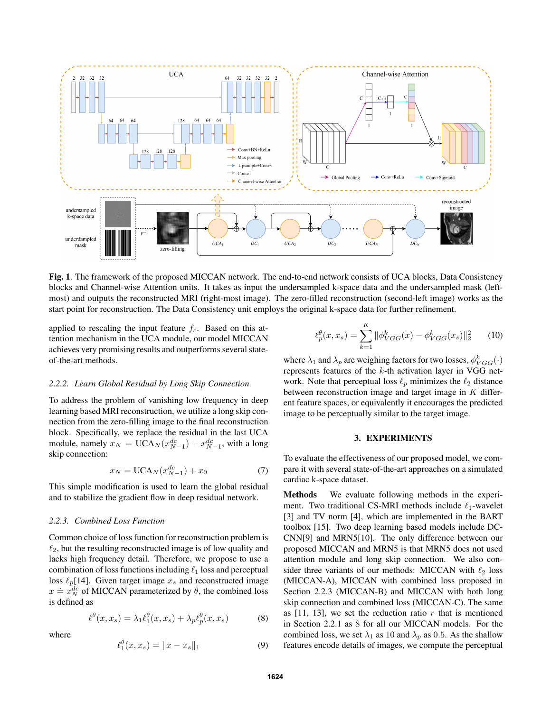

Fig. 1. The framework of the proposed MICCAN network. The end-to-end network consists of UCA blocks, Data Consistency blocks and Channel-wise Attention units. It takes as input the undersampled k-space data and the undersampled mask (leftmost) and outputs the reconstructed MRI (right-most image). The zero-filled reconstruction (second-left image) works as the start point for reconstruction. The Data Consistency unit employs the original k-space data for further refinement.

applied to rescaling the input feature  $f_c$ . Based on this attention mechanism in the UCA module, our model MICCAN achieves very promising results and outperforms several stateof-the-art methods.

#### *2.2.2. Learn Global Residual by Long Skip Connection*

To address the problem of vanishing low frequency in deep learning based MRI reconstruction, we utilize a long skip connection from the zero-filling image to the final reconstruction block. Specifically, we replace the residual in the last UCA module, namely  $x_N = \text{UCA}_N(x_{N-1}^{dc}) + x_{N-1}^{dc}$ , with a long skip connection:

$$
x_N = \text{UCA}_N(x_{N-1}^{dc}) + x_0 \tag{7}
$$

This simple modification is used to learn the global residual and to stabilize the gradient flow in deep residual network.

## *2.2.3. Combined Loss Function*

Common choice of loss function for reconstruction problem is  $\ell_2$ , but the resulting reconstructed image is of low quality and lacks high frequency detail. Therefore, we propose to use a combination of loss functions including  $\ell_1$  loss and perceptual loss  $\ell_p$ [14]. Given target image  $x_s$  and reconstructed image  $x = x_N^{dc}$  of MICCAN parameterized by  $\theta$ , the combined loss is defined as

$$
\ell^{\theta}(x, x_s) = \lambda_1 \ell_1^{\theta}(x, x_s) + \lambda_p \ell_p^{\theta}(x, x_s)
$$
 (8)

where

$$
\ell_1^{\theta}(x, x_s) = \|x - x_s\|_1 \tag{9}
$$

$$
\ell_p^{\theta}(x, x_s) = \sum_{k=1}^{K} \|\phi_{VGG}^k(x) - \phi_{VGG}^k(x_s)\|_2^2 \qquad (10)
$$

where  $\lambda_1$  and  $\lambda_p$  are weighing factors for two losses,  $\phi_{VGG}^k(\cdot)$ represents features of the k-th activation layer in VGG network. Note that perceptual loss  $\ell_p$  minimizes the  $\ell_2$  distance between reconstruction image and target image in  $K$  different feature spaces, or equivalently it encourages the predicted image to be perceptually similar to the target image.

# 3. EXPERIMENTS

To evaluate the effectiveness of our proposed model, we compare it with several state-of-the-art approaches on a simulated cardiac k-space dataset.

Methods We evaluate following methods in the experiment. Two traditional CS-MRI methods include  $\ell_1$ -wavelet [3] and TV norm [4], which are implemented in the BART toolbox [15]. Two deep learning based models include DC-CNN[9] and MRN5[10]. The only difference between our proposed MICCAN and MRN5 is that MRN5 does not used attention module and long skip connection. We also consider three variants of our methods: MICCAN with  $\ell_2$  loss (MICCAN-A), MICCAN with combined loss proposed in Section 2.2.3 (MICCAN-B) and MICCAN with both long skip connection and combined loss (MICCAN-C). The same as  $[11, 13]$ , we set the reduction ratio r that is mentioned in Section 2.2.1 as 8 for all our MICCAN models. For the combined loss, we set  $\lambda_1$  as 10 and  $\lambda_p$  as 0.5. As the shallow features encode details of images, we compute the perceptual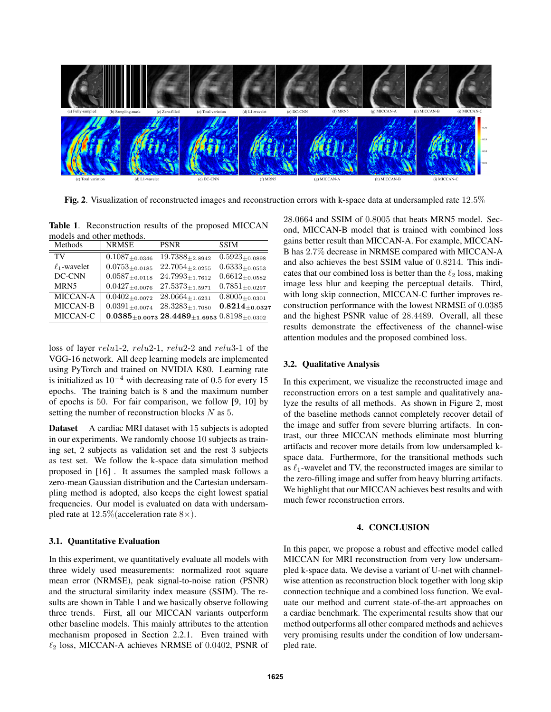

Fig. 2. Visualization of reconstructed images and reconstruction errors with k-space data at undersampled rate 12.5%

Table 1. Reconstruction results of the proposed MICCAN models and other methods.

| Methods           | <b>NRMSE</b>          | <b>PSNR</b>                                                       | <b>SSIM</b>           |
|-------------------|-----------------------|-------------------------------------------------------------------|-----------------------|
| TV                | $0.1087_{\pm 0.0346}$ | $19.7388_{\pm 2.8942}$                                            | $0.5923_{\pm 0.0898}$ |
| $\ell_1$ -wavelet | $0.0753_{\pm 0.0185}$ | $22.7054_{\pm 2.0255}$                                            | $0.6333_{\pm0.0553}$  |
| DC-CNN            | $0.0587_{\pm0.0118}$  | $24.7993_{\pm 1.7612}$                                            | $0.6612_{\pm 0.0582}$ |
| MRN5              | $0.0427_{\pm 0.0076}$ | $27.5373_{\pm 1.5971}$                                            | $0.7851_{\pm 0.0297}$ |
| <b>MICCAN-A</b>   | $0.0402_{\pm 0.0072}$ | $28.0664_{\pm 1.6231}$                                            | $0.8005_{\pm 0.0301}$ |
| MICCAN-B          | $0.0391_{\pm 0.0074}$ | $28.3283_{\pm 1.7080}$                                            | $0.8214_{\pm 0.0327}$ |
| MICCAN-C          |                       | $0.0385_{\pm0.0073}$ 28.4489 $_{\pm1.6953}$ 0.8198 $_{\pm0.0302}$ |                       |

loss of layer relu1-2, relu2-1, relu2-2 and relu3-1 of the VGG-16 network. All deep learning models are implemented using PyTorch and trained on NVIDIA K80. Learning rate is initialized as  $10^{-4}$  with decreasing rate of 0.5 for every 15 epochs. The training batch is 8 and the maximum number of epochs is 50. For fair comparison, we follow [9, 10] by setting the number of reconstruction blocks N as 5.

Dataset A cardiac MRI dataset with 15 subjects is adopted in our experiments. We randomly choose 10 subjects as training set, 2 subjects as validation set and the rest 3 subjects as test set. We follow the k-space data simulation method proposed in [16] . It assumes the sampled mask follows a zero-mean Gaussian distribution and the Cartesian undersampling method is adopted, also keeps the eight lowest spatial frequencies. Our model is evaluated on data with undersampled rate at  $12.5\%$  (acceleration rate  $8\times$ ).

# 3.1. Quantitative Evaluation

In this experiment, we quantitatively evaluate all models with three widely used measurements: normalized root square mean error (NRMSE), peak signal-to-noise ration (PSNR) and the structural similarity index measure (SSIM). The results are shown in Table 1 and we basically observe following three trends. First, all our MICCAN variants outperform other baseline models. This mainly attributes to the attention mechanism proposed in Section 2.2.1. Even trained with  $\ell_2$  loss, MICCAN-A achieves NRMSE of 0.0402, PSNR of 28.0664 and SSIM of 0.8005 that beats MRN5 model. Second, MICCAN-B model that is trained with combined loss gains better result than MICCAN-A. For example, MICCAN-B has 2.7% decrease in NRMSE compared with MICCAN-A and also achieves the best SSIM value of 0.8214. This indicates that our combined loss is better than the  $\ell_2$  loss, making image less blur and keeping the perceptual details. Third, with long skip connection, MICCAN-C further improves reconstruction performance with the lowest NRMSE of 0.0385 and the highest PSNR value of 28.4489. Overall, all these results demonstrate the effectiveness of the channel-wise attention modules and the proposed combined loss.

# 3.2. Qualitative Analysis

In this experiment, we visualize the reconstructed image and reconstruction errors on a test sample and qualitatively analyze the results of all methods. As shown in Figure 2, most of the baseline methods cannot completely recover detail of the image and suffer from severe blurring artifacts. In contrast, our three MICCAN methods eliminate most blurring artifacts and recover more details from low undersampled kspace data. Furthermore, for the transitional methods such as  $\ell_1$ -wavelet and TV, the reconstructed images are similar to the zero-filling image and suffer from heavy blurring artifacts. We highlight that our MICCAN achieves best results and with much fewer reconstruction errors.

## 4. CONCLUSION

In this paper, we propose a robust and effective model called MICCAN for MRI reconstruction from very low undersampled k-space data. We devise a variant of U-net with channelwise attention as reconstruction block together with long skip connection technique and a combined loss function. We evaluate our method and current state-of-the-art approaches on a cardiac benchmark. The experimental results show that our method outperforms all other compared methods and achieves very promising results under the condition of low undersampled rate.